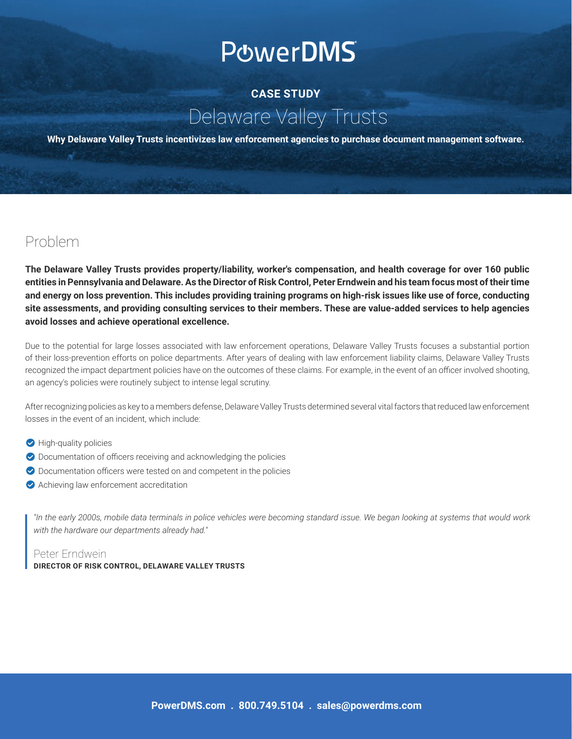# **PowerDMS**

## **CASE STUDY** Delaware Valley Trusts

**Why Delaware Valley Trusts incentivizes law enforcement agencies to purchase document management software.**

### Problem

**The Delaware Valley Trusts provides property/liability, worker's compensation, and health coverage for over 160 public entities in Pennsylvania and Delaware. As the Director of Risk Control, Peter Erndwein and his team focus most of their time and energy on loss prevention. This includes providing training programs on high-risk issues like use of force, conducting site assessments, and providing consulting services to their members. These are value-added services to help agencies avoid losses and achieve operational excellence.**

Due to the potential for large losses associated with law enforcement operations, Delaware Valley Trusts focuses a substantial portion of their loss-prevention efforts on police departments. After years of dealing with law enforcement liability claims, Delaware Valley Trusts recognized the impact department policies have on the outcomes of these claims. For example, in the event of an officer involved shooting, an agency's policies were routinely subject to intense legal scrutiny.

After recognizing policies as key to a members defense, Delaware Valley Trusts determined several vital factors that reduced law enforcement losses in the event of an incident, which include:

- $\bullet$  High-quality policies
- $\bullet$  Documentation of officers receiving and acknowledging the policies
- $\bullet$  Documentation officers were tested on and competent in the policies
- $\bullet$  Achieving law enforcement accreditation

*"In the early 2000s, mobile data terminals in police vehicles were becoming standard issue. We began looking at systems that would work with the hardware our departments already had."*

#### Peter Erndwein

#### **DIRECTOR OF RISK CONTROL, DELAWARE VALLEY TRUSTS**